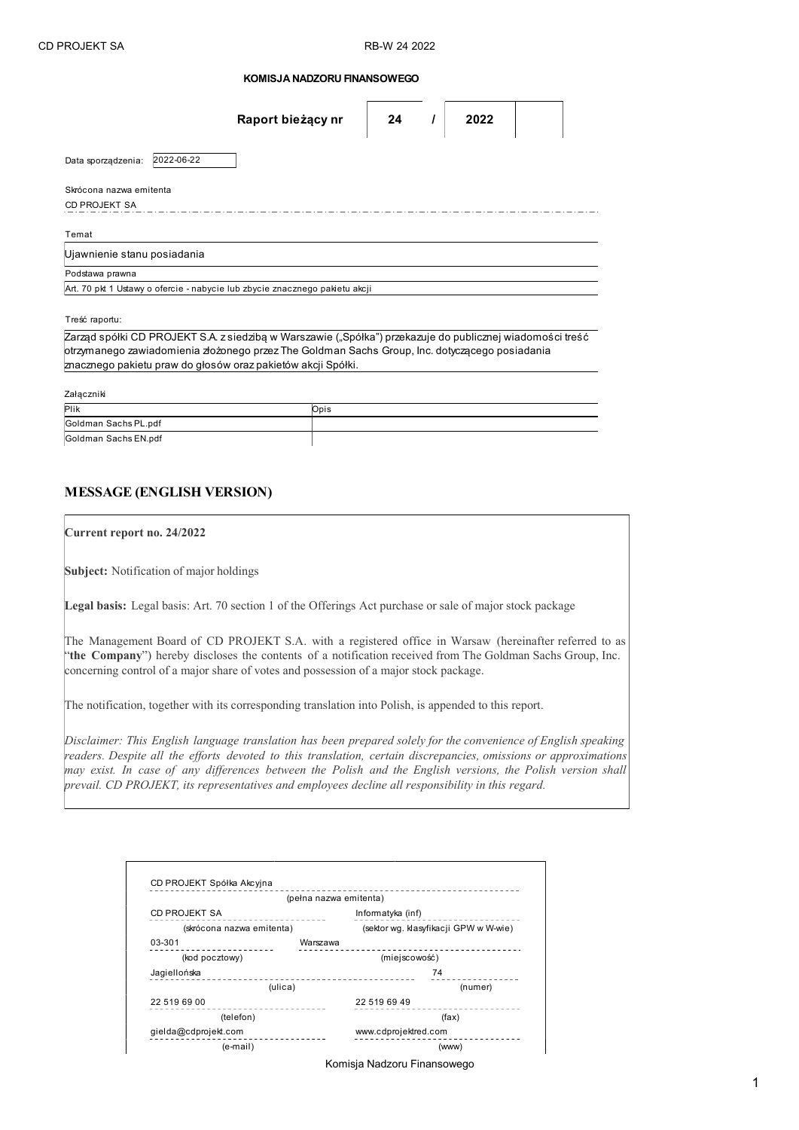## KOMISJA NADZORU FINANSOWEGO

|                                                                                                           |            | Raport bieżący nr                                                           | 24 |  | 2022 |  |  |
|-----------------------------------------------------------------------------------------------------------|------------|-----------------------------------------------------------------------------|----|--|------|--|--|
| Data sporządzenia:                                                                                        | 2022-06-22 |                                                                             |    |  |      |  |  |
| Skrócona nazwa emitenta                                                                                   |            |                                                                             |    |  |      |  |  |
| <b>CD PROJEKT SA</b>                                                                                      |            |                                                                             |    |  |      |  |  |
| Temat                                                                                                     |            |                                                                             |    |  |      |  |  |
| Ujawnienie stanu posiadania                                                                               |            |                                                                             |    |  |      |  |  |
| Podstawa prawna                                                                                           |            |                                                                             |    |  |      |  |  |
|                                                                                                           |            | Art. 70 pkt 1 Ustawy o ofercie - nabycie lub zbycie znacznego pakietu akcji |    |  |      |  |  |
|                                                                                                           |            |                                                                             |    |  |      |  |  |
| Treść raportu:                                                                                            |            |                                                                             |    |  |      |  |  |
| Zarząd spółki CD PROJEKT S.A. z siedzibą w Warszawie ("Spółka") przekazuje do publicznej wiadomości treść |            |                                                                             |    |  |      |  |  |
| ptrzymanego zawiadomienia złożonego przez The Goldman Sachs Group, Inc. dotyczącego posiadania            |            |                                                                             |    |  |      |  |  |
|                                                                                                           |            | znacznego pakietu praw do głosów oraz pakietów akcji Spółki.                |    |  |      |  |  |

Załączniki

| <i>L</i> aigveinn    |      |  |  |  |  |  |
|----------------------|------|--|--|--|--|--|
| Plik                 | Opis |  |  |  |  |  |
| Goldman Sachs PL.pdf |      |  |  |  |  |  |
| Goldman Sachs EN.pdf |      |  |  |  |  |  |

## MESSAGE (ENGLISH VERSION)

Current report no. 24/2022

Subject: Notification of major holdings

Legal basis: Legal basis: Art. 70 section 1 of the Offerings Act purchase or sale of major stock package

The Management Board of CD PROJEKT S.A. with a registered office in Warsaw (hereinafter referred to as "the Company") hereby discloses the contents of a notification received from The Goldman Sachs Group, Inc. concerning control of a major share of votes and possession of a major stock package.

The notification, together with its corresponding translation into Polish, is appended to this report.

Disclaimer: This English language translation has been prepared solely for the convenience of English speaking readers. Despite all the efforts devoted to this translation, certain discrepancies, omissions or approximations may exist. In case of any differences between the Polish and the English versions, the Polish version shall prevail. CD PROJEKT, its representatives and employees decline all responsibility in this regard.

|                           | (pełna nazwa emitenta) |                                       |  |
|---------------------------|------------------------|---------------------------------------|--|
| CD PROJEKT SA             |                        | Informatyka (inf)                     |  |
| (skrócona nazwa emitenta) |                        | (sektor wg. klasyfikacji GPW w W-wie) |  |
| 03-301                    | Warszawa               |                                       |  |
| (kod pocztowy)            |                        | (miejscowość)                         |  |
| Jagiellońska              |                        | 74                                    |  |
| (ulica)                   |                        | (numer)                               |  |
| 22 519 69 00<br>(telefon) |                        | 22 519 69 49                          |  |
|                           |                        | (fax)                                 |  |
| gielda@cdprojekt.com      |                        | www.cdprojektred.com                  |  |
| (e-mail)                  |                        | (www)                                 |  |

Komisja Nadzoru Finansowego